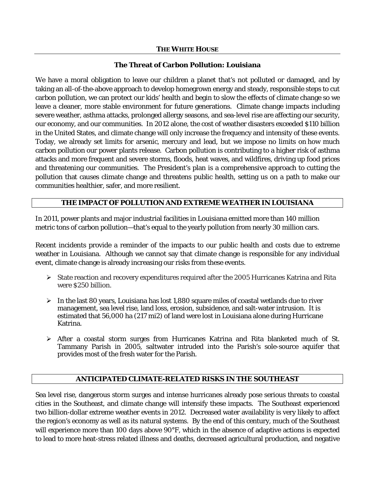### **THE WHITE HOUSE**

## **The Threat of Carbon Pollution: Louisiana**

We have a moral obligation to leave our children a planet that's not polluted or damaged, and by taking an all-of-the-above approach to develop homegrown energy and steady, responsible steps to cut carbon pollution, we can protect our kids' health and begin to slow the effects of climate change so we leave a cleaner, more stable environment for future generations. Climate change impacts including severe weather, asthma attacks, prolonged allergy seasons, and sea-level rise are affecting our security, our economy, and our communities. In 2012 alone, the cost of weather disasters exceeded \$110 billion in the United States, and climate change will only increase the frequency and intensity of these events. Today, we already set limits for arsenic, mercury and lead, but we impose no limits on how much carbon pollution our power plants release. Carbon pollution is contributing to a higher risk of asthma attacks and more frequent and severe storms, floods, heat waves, and wildfires, driving up food prices and threatening our communities. The President's plan is a comprehensive approach to cutting the pollution that causes climate change and threatens public health, setting us on a path to make our communities healthier, safer, and more resilient.

## **THE IMPACT OF POLLUTION AND EXTREME WEATHER IN LOUISIANA**

In 2011, power plants and major industrial facilities in Louisiana emitted more than 140 million metric tons of carbon pollution—that's equal to the yearly pollution from nearly 30 million cars.

Recent incidents provide a reminder of the impacts to our public health and costs due to extreme weather in Louisiana. Although we cannot say that climate change is responsible for any individual event, climate change is already increasing our risks from these events.

- $\triangleright$  State reaction and recovery expenditures required after the 2005 Hurricanes Katrina and Rita were \$250 billion.
- $\triangleright$  In the last 80 years, Louisiana has lost 1,880 square miles of coastal wetlands due to river management, sea level rise, land loss, erosion, subsidence, and salt-water intrusion. It is estimated that 56,000 ha (217 mi2) of land were lost in Louisiana alone during Hurricane Katrina.
- $\triangleright$  After a coastal storm surges from Hurricanes Katrina and Rita blanketed much of St. Tammany Parish in 2005, saltwater intruded into the Parish's sole-source aquifer that provides most of the fresh water for the Parish.

## **ANTICIPATED CLIMATE-RELATED RISKS IN THE SOUTHEAST**

Sea level rise, dangerous storm surges and intense hurricanes already pose serious threats to coastal cities in the Southeast, and climate change will intensify these impacts. The Southeast experienced two billion-dollar extreme weather events in 2012. Decreased water availability is very likely to affect the region's economy as well as its natural systems. By the end of this century, much of the Southeast will experience more than 100 days above 90°F, which in the absence of adaptive actions is expected to lead to more heat-stress related illness and deaths, decreased agricultural production, and negative